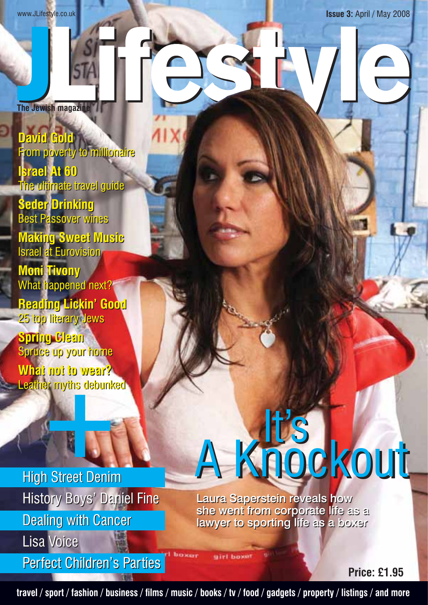www.JLifestyle.co.uk **Issue 3:** April / May 2008

**The Jewish magazine**

**David Gold David Gold** From poverty to millionaire From poverty to millionaire **Israel At 60** The ultimate travel guide **Seder Drinking Seder Drinking Israel At 60** The ultimate travel guide

Best Passover wines Best Passover wines

**Making Sweet Music Making Sweet Music** Israel at Eurovision Israel at Eurovision

**Moni Tivony Moni Tivony** What happened next? What happened next?

**Reading Lickin' Good Reading Lickin' Good** 25 top literary Jews 25 top literary Jews

**Spring Clean Spring Clean** Spruce up your home Spruce up your home **What not to wear? What not to wear?** Leather myths debunked Leather myths debunked

High Street Denim High Street Denim History Boys' Daniel Fine History Boys' Daniel Fine Dealing with Cancer Dealing with Cancer Lisa Voice Lisa Voice

Perfect Children's Parties Perfect Children's Parties

# A Knockout

Laura Saperstein reveals how Laura Saperstein reveals how she went from corporate life as a lawyer to sporting life as a boxer lawyer to sporting life as a boxer

**Price: £1.95**

**travel / sport / fashion / business / fi lms / music / books / tv / food / gadgets / property / listings / and more**

airl boxe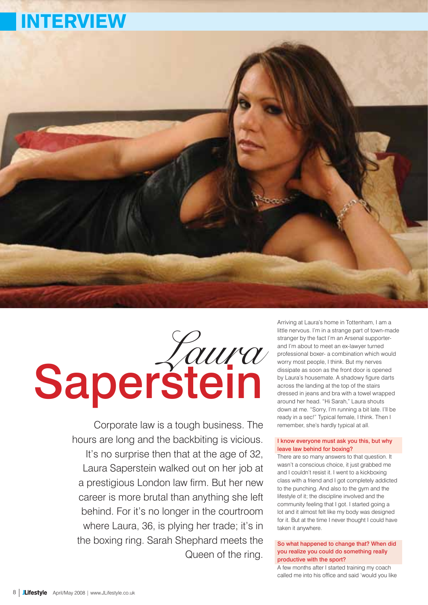## INTERVIEW



## Saperstein

Corporate law is a tough business. The hours are long and the backbiting is vicious. It's no surprise then that at the age of 32, Laura Saperstein walked out on her job at a prestigious London law firm. But her new career is more brutal than anything she left behind. For it's no longer in the courtroom where Laura, 36, is plying her trade; it's in the boxing ring. Sarah Shephard meets the Queen of the ring.

Arriving at Laura's home in Tottenham, I am a little nervous. I'm in a strange part of town-made stranger by the fact I'm an Arsenal supporterand I'm about to meet an ex-lawyer turned professional boxer- a combination which would worry most people, I think. But my nerves dissipate as soon as the front door is opened by Laura's housemate. A shadowy figure darts across the landing at the top of the stairs dressed in jeans and bra with a towel wrapped around her head. "Hi Sarah," Laura shouts down at me. "Sorry, I'm running a bit late. I'll be ready in a sec!" Typical female, I think. Then I remember, she's hardly typical at all.

#### I know everyone must ask you this, but why leave law behind for boxing?

There are so many answers to that question. It wasn't a conscious choice, it just grabbed me and I couldn't resist it. I went to a kickboxing class with a friend and I got completely addicted to the punching. And also to the gym and the lifestyle of it; the discipline involved and the community feeling that I got. I started going a lot and it almost felt like my body was designed for it. But at the time I never thought I could have taken it anywhere.

#### So what happened to change that? When did you realize you could do something really productive with the sport?

A few months after I started training my coach called me into his office and said 'would you like